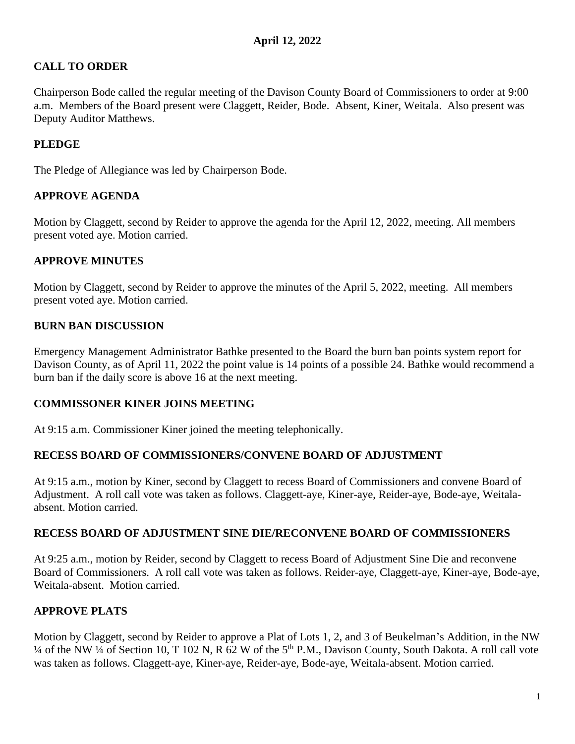# **CALL TO ORDER**

Chairperson Bode called the regular meeting of the Davison County Board of Commissioners to order at 9:00 a.m. Members of the Board present were Claggett, Reider, Bode. Absent, Kiner, Weitala. Also present was Deputy Auditor Matthews.

# **PLEDGE**

The Pledge of Allegiance was led by Chairperson Bode.

## **APPROVE AGENDA**

Motion by Claggett, second by Reider to approve the agenda for the April 12, 2022, meeting. All members present voted aye. Motion carried.

## **APPROVE MINUTES**

Motion by Claggett, second by Reider to approve the minutes of the April 5, 2022, meeting. All members present voted aye. Motion carried.

## **BURN BAN DISCUSSION**

Emergency Management Administrator Bathke presented to the Board the burn ban points system report for Davison County, as of April 11, 2022 the point value is 14 points of a possible 24. Bathke would recommend a burn ban if the daily score is above 16 at the next meeting.

#### **COMMISSONER KINER JOINS MEETING**

At 9:15 a.m. Commissioner Kiner joined the meeting telephonically.

#### **RECESS BOARD OF COMMISSIONERS/CONVENE BOARD OF ADJUSTMENT**

At 9:15 a.m., motion by Kiner, second by Claggett to recess Board of Commissioners and convene Board of Adjustment. A roll call vote was taken as follows. Claggett-aye, Kiner-aye, Reider-aye, Bode-aye, Weitalaabsent. Motion carried.

#### **RECESS BOARD OF ADJUSTMENT SINE DIE/RECONVENE BOARD OF COMMISSIONERS**

At 9:25 a.m., motion by Reider, second by Claggett to recess Board of Adjustment Sine Die and reconvene Board of Commissioners. A roll call vote was taken as follows. Reider-aye, Claggett-aye, Kiner-aye, Bode-aye, Weitala-absent. Motion carried.

#### **APPROVE PLATS**

Motion by Claggett, second by Reider to approve a Plat of Lots 1, 2, and 3 of Beukelman's Addition, in the NW  $\frac{1}{4}$  of the NW  $\frac{1}{4}$  of Section 10, T 102 N, R 62 W of the 5<sup>th</sup> P.M., Davison County, South Dakota. A roll call vote was taken as follows. Claggett-aye, Kiner-aye, Reider-aye, Bode-aye, Weitala-absent. Motion carried.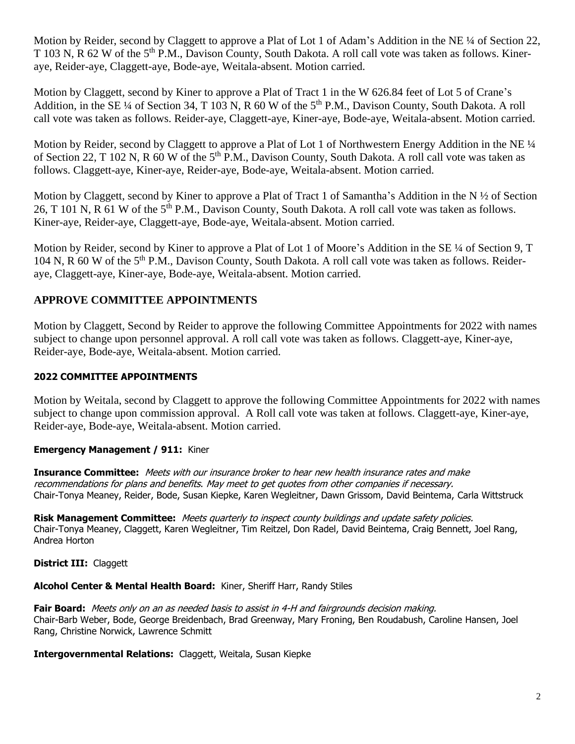Motion by Reider, second by Claggett to approve a Plat of Lot 1 of Adam's Addition in the NE ¼ of Section 22, T 103 N, R 62 W of the 5<sup>th</sup> P.M., Davison County, South Dakota. A roll call vote was taken as follows. Kineraye, Reider-aye, Claggett-aye, Bode-aye, Weitala-absent. Motion carried.

Motion by Claggett, second by Kiner to approve a Plat of Tract 1 in the W 626.84 feet of Lot 5 of Crane's Addition, in the SE ¼ of Section 34, T 103 N, R 60 W of the 5<sup>th</sup> P.M., Davison County, South Dakota. A roll call vote was taken as follows. Reider-aye, Claggett-aye, Kiner-aye, Bode-aye, Weitala-absent. Motion carried.

Motion by Reider, second by Claggett to approve a Plat of Lot 1 of Northwestern Energy Addition in the NE <sup>1</sup>/4 of Section 22, T 102 N, R 60 W of the 5<sup>th</sup> P.M., Davison County, South Dakota. A roll call vote was taken as follows. Claggett-aye, Kiner-aye, Reider-aye, Bode-aye, Weitala-absent. Motion carried.

Motion by Claggett, second by Kiner to approve a Plat of Tract 1 of Samantha's Addition in the N  $\frac{1}{2}$  of Section 26, T 101 N, R 61 W of the 5<sup>th</sup> P.M., Davison County, South Dakota. A roll call vote was taken as follows. Kiner-aye, Reider-aye, Claggett-aye, Bode-aye, Weitala-absent. Motion carried.

Motion by Reider, second by Kiner to approve a Plat of Lot 1 of Moore's Addition in the SE ¼ of Section 9, T 104 N, R 60 W of the 5<sup>th</sup> P.M., Davison County, South Dakota. A roll call vote was taken as follows. Reideraye, Claggett-aye, Kiner-aye, Bode-aye, Weitala-absent. Motion carried.

## **APPROVE COMMITTEE APPOINTMENTS**

Motion by Claggett, Second by Reider to approve the following Committee Appointments for 2022 with names subject to change upon personnel approval. A roll call vote was taken as follows. Claggett-aye, Kiner-aye, Reider-aye, Bode-aye, Weitala-absent. Motion carried.

#### **2022 COMMITTEE APPOINTMENTS**

Motion by Weitala, second by Claggett to approve the following Committee Appointments for 2022 with names subject to change upon commission approval. A Roll call vote was taken at follows. Claggett-aye, Kiner-aye, Reider-aye, Bode-aye, Weitala-absent. Motion carried.

#### **Emergency Management / 911:** Kiner

**Insurance Committee:** Meets with our insurance broker to hear new health insurance rates and make recommendations for plans and benefits. May meet to get quotes from other companies if necessary. Chair-Tonya Meaney, Reider, Bode, Susan Kiepke, Karen Wegleitner, Dawn Grissom, David Beintema, Carla Wittstruck

**Risk Management Committee:** Meets quarterly to inspect county buildings and update safety policies. Chair-Tonya Meaney, Claggett, Karen Wegleitner, Tim Reitzel, Don Radel, David Beintema, Craig Bennett, Joel Rang, Andrea Horton

**District III:** Claggett

# **Alcohol Center & Mental Health Board:** Kiner, Sheriff Harr, Randy Stiles

**Fair Board:** Meets only on an as needed basis to assist in 4-H and fairgrounds decision making. Chair-Barb Weber, Bode, George Breidenbach, Brad Greenway, Mary Froning, Ben Roudabush, Caroline Hansen, Joel Rang, Christine Norwick, Lawrence Schmitt

**Intergovernmental Relations:** Claggett, Weitala, Susan Kiepke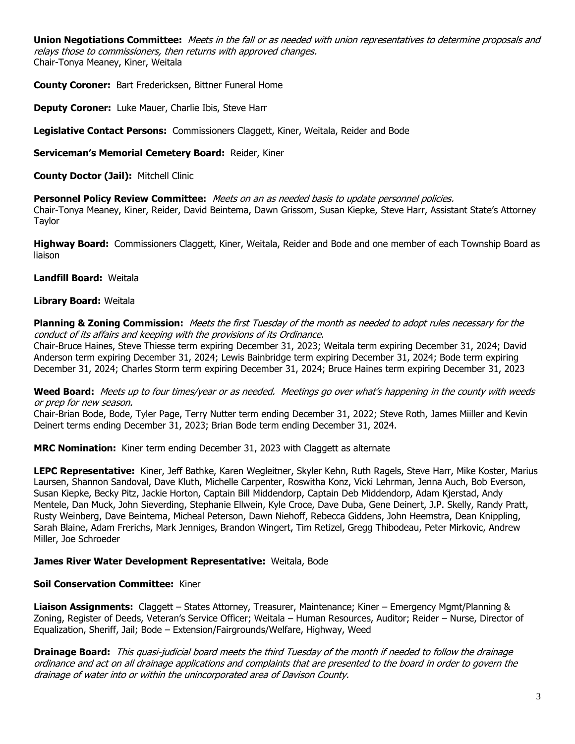**Union Negotiations Committee:** Meets in the fall or as needed with union representatives to determine proposals and relays those to commissioners, then returns with approved changes. Chair-Tonya Meaney, Kiner, Weitala

**County Coroner:** Bart Fredericksen, Bittner Funeral Home

**Deputy Coroner:** Luke Mauer, Charlie Ibis, Steve Harr

**Legislative Contact Persons:** Commissioners Claggett, Kiner, Weitala, Reider and Bode

**Serviceman's Memorial Cemetery Board:** Reider, Kiner

**County Doctor (Jail):** Mitchell Clinic

**Personnel Policy Review Committee:** Meets on an as needed basis to update personnel policies.

Chair-Tonya Meaney, Kiner, Reider, David Beintema, Dawn Grissom, Susan Kiepke, Steve Harr, Assistant State's Attorney Taylor

**Highway Board:** Commissioners Claggett, Kiner, Weitala, Reider and Bode and one member of each Township Board as liaison

#### **Landfill Board:** Weitala

#### **Library Board:** Weitala

**Planning & Zoning Commission:** Meets the first Tuesday of the month as needed to adopt rules necessary for the conduct of its affairs and keeping with the provisions of its Ordinance.

Chair-Bruce Haines, Steve Thiesse term expiring December 31, 2023; Weitala term expiring December 31, 2024; David Anderson term expiring December 31, 2024; Lewis Bainbridge term expiring December 31, 2024; Bode term expiring December 31, 2024; Charles Storm term expiring December 31, 2024; Bruce Haines term expiring December 31, 2023

**Weed Board:** Meets up to four times/year or as needed. Meetings go over what's happening in the county with weeds or prep for new season.

Chair-Brian Bode, Bode, Tyler Page, Terry Nutter term ending December 31, 2022; Steve Roth, James Miiller and Kevin Deinert terms ending December 31, 2023; Brian Bode term ending December 31, 2024.

**MRC Nomination:** Kiner term ending December 31, 2023 with Claggett as alternate

**LEPC Representative:** Kiner, Jeff Bathke, Karen Wegleitner, Skyler Kehn, Ruth Ragels, Steve Harr, Mike Koster, Marius Laursen, Shannon Sandoval, Dave Kluth, Michelle Carpenter, Roswitha Konz, Vicki Lehrman, Jenna Auch, Bob Everson, Susan Kiepke, Becky Pitz, Jackie Horton, Captain Bill Middendorp, Captain Deb Middendorp, Adam Kjerstad, Andy Mentele, Dan Muck, John Sieverding, Stephanie Ellwein, Kyle Croce, Dave Duba, Gene Deinert, J.P. Skelly, Randy Pratt, Rusty Weinberg, Dave Beintema, Micheal Peterson, Dawn Niehoff, Rebecca Giddens, John Heemstra, Dean Knippling, Sarah Blaine, Adam Frerichs, Mark Jenniges, Brandon Wingert, Tim Retizel, Gregg Thibodeau, Peter Mirkovic, Andrew Miller, Joe Schroeder

#### **James River Water Development Representative:** Weitala, Bode

#### **Soil Conservation Committee:** Kiner

**Liaison Assignments:** Claggett – States Attorney, Treasurer, Maintenance; Kiner – Emergency Mgmt/Planning & Zoning, Register of Deeds, Veteran's Service Officer; Weitala – Human Resources, Auditor; Reider – Nurse, Director of Equalization, Sheriff, Jail; Bode – Extension/Fairgrounds/Welfare, Highway, Weed

**Drainage Board:** This quasi-judicial board meets the third Tuesday of the month if needed to follow the drainage ordinance and act on all drainage applications and complaints that are presented to the board in order to govern the drainage of water into or within the unincorporated area of Davison County.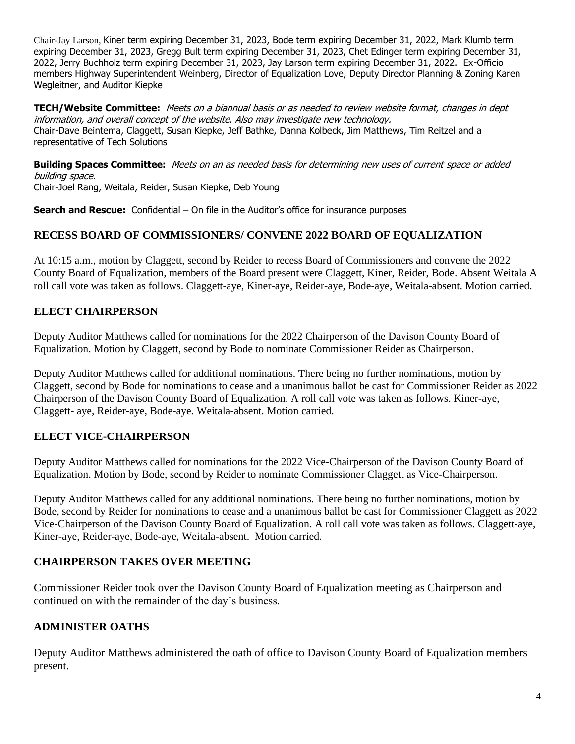Chair-Jay Larson, Kiner term expiring December 31, 2023, Bode term expiring December 31, 2022, Mark Klumb term expiring December 31, 2023, Gregg Bult term expiring December 31, 2023, Chet Edinger term expiring December 31, 2022, Jerry Buchholz term expiring December 31, 2023, Jay Larson term expiring December 31, 2022. Ex-Officio members Highway Superintendent Weinberg, Director of Equalization Love, Deputy Director Planning & Zoning Karen Wegleitner, and Auditor Kiepke

**TECH/Website Committee:** Meets on a biannual basis or as needed to review website format, changes in dept information, and overall concept of the website. Also may investigate new technology. Chair-Dave Beintema, Claggett, Susan Kiepke, Jeff Bathke, Danna Kolbeck, Jim Matthews, Tim Reitzel and a representative of Tech Solutions

**Building Spaces Committee:** Meets on an as needed basis for determining new uses of current space or added building space. Chair-Joel Rang, Weitala, Reider, Susan Kiepke, Deb Young

**Search and Rescue:** Confidential – On file in the Auditor's office for insurance purposes

#### **RECESS BOARD OF COMMISSIONERS/ CONVENE 2022 BOARD OF EQUALIZATION**

At 10:15 a.m., motion by Claggett, second by Reider to recess Board of Commissioners and convene the 2022 County Board of Equalization, members of the Board present were Claggett, Kiner, Reider, Bode. Absent Weitala A roll call vote was taken as follows. Claggett-aye, Kiner-aye, Reider-aye, Bode-aye, Weitala-absent. Motion carried.

## **ELECT CHAIRPERSON**

Deputy Auditor Matthews called for nominations for the 2022 Chairperson of the Davison County Board of Equalization. Motion by Claggett, second by Bode to nominate Commissioner Reider as Chairperson.

Deputy Auditor Matthews called for additional nominations. There being no further nominations, motion by Claggett, second by Bode for nominations to cease and a unanimous ballot be cast for Commissioner Reider as 2022 Chairperson of the Davison County Board of Equalization. A roll call vote was taken as follows. Kiner-aye, Claggett- aye, Reider-aye, Bode-aye. Weitala-absent. Motion carried.

#### **ELECT VICE-CHAIRPERSON**

Deputy Auditor Matthews called for nominations for the 2022 Vice-Chairperson of the Davison County Board of Equalization. Motion by Bode, second by Reider to nominate Commissioner Claggett as Vice-Chairperson.

Deputy Auditor Matthews called for any additional nominations. There being no further nominations, motion by Bode, second by Reider for nominations to cease and a unanimous ballot be cast for Commissioner Claggett as 2022 Vice-Chairperson of the Davison County Board of Equalization. A roll call vote was taken as follows. Claggett-aye, Kiner-aye, Reider-aye, Bode-aye, Weitala-absent. Motion carried.

#### **CHAIRPERSON TAKES OVER MEETING**

Commissioner Reider took over the Davison County Board of Equalization meeting as Chairperson and continued on with the remainder of the day's business.

#### **ADMINISTER OATHS**

Deputy Auditor Matthews administered the oath of office to Davison County Board of Equalization members present.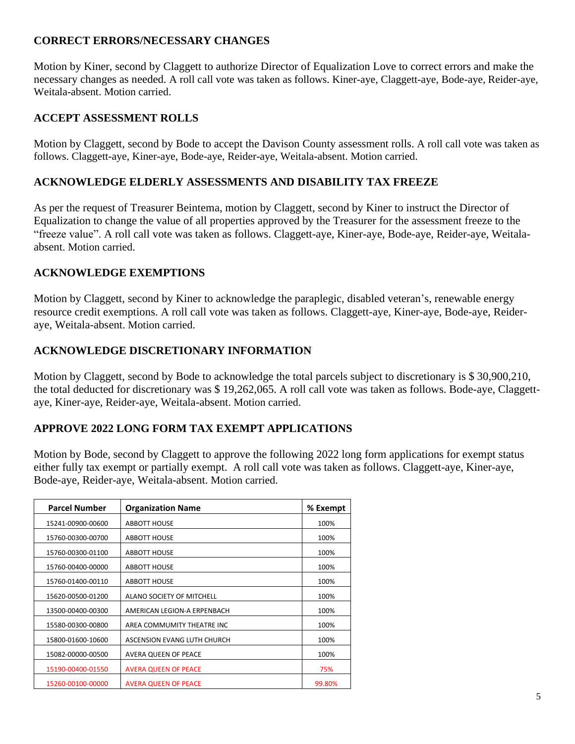# **CORRECT ERRORS/NECESSARY CHANGES**

Motion by Kiner, second by Claggett to authorize Director of Equalization Love to correct errors and make the necessary changes as needed. A roll call vote was taken as follows. Kiner-aye, Claggett-aye, Bode-aye, Reider-aye, Weitala-absent. Motion carried.

## **ACCEPT ASSESSMENT ROLLS**

Motion by Claggett, second by Bode to accept the Davison County assessment rolls. A roll call vote was taken as follows. Claggett-aye, Kiner-aye, Bode-aye, Reider-aye, Weitala-absent. Motion carried.

#### **ACKNOWLEDGE ELDERLY ASSESSMENTS AND DISABILITY TAX FREEZE**

As per the request of Treasurer Beintema, motion by Claggett, second by Kiner to instruct the Director of Equalization to change the value of all properties approved by the Treasurer for the assessment freeze to the "freeze value". A roll call vote was taken as follows. Claggett-aye, Kiner-aye, Bode-aye, Reider-aye, Weitalaabsent. Motion carried.

## **ACKNOWLEDGE EXEMPTIONS**

Motion by Claggett, second by Kiner to acknowledge the paraplegic, disabled veteran's, renewable energy resource credit exemptions. A roll call vote was taken as follows. Claggett-aye, Kiner-aye, Bode-aye, Reideraye, Weitala-absent. Motion carried.

## **ACKNOWLEDGE DISCRETIONARY INFORMATION**

Motion by Claggett, second by Bode to acknowledge the total parcels subject to discretionary is \$ 30,900,210, the total deducted for discretionary was \$ 19,262,065. A roll call vote was taken as follows. Bode-aye, Claggettaye, Kiner-aye, Reider-aye, Weitala-absent. Motion carried.

# **APPROVE 2022 LONG FORM TAX EXEMPT APPLICATIONS**

Motion by Bode, second by Claggett to approve the following 2022 long form applications for exempt status either fully tax exempt or partially exempt. A roll call vote was taken as follows. Claggett-aye, Kiner-aye, Bode-aye, Reider-aye, Weitala-absent. Motion carried.

| <b>Parcel Number</b> | <b>Organization Name</b>    | % Exempt |
|----------------------|-----------------------------|----------|
| 15241-00900-00600    | <b>ABBOTT HOUSE</b>         | 100%     |
| 15760-00300-00700    | <b>ABBOTT HOUSE</b>         | 100%     |
| 15760-00300-01100    | <b>ABBOTT HOUSE</b>         | 100%     |
| 15760-00400-00000    | <b>ABBOTT HOUSE</b>         | 100%     |
| 15760-01400-00110    | <b>ABBOTT HOUSE</b>         | 100%     |
| 15620-00500-01200    | ALANO SOCIETY OF MITCHELL   | 100%     |
| 13500-00400-00300    | AMERICAN LEGION-A ERPENBACH | 100%     |
| 15580-00300-00800    | AREA COMMUMITY THEATRE INC  | 100%     |
| 15800-01600-10600    | ASCENSION EVANG LUTH CHURCH | 100%     |
| 15082-00000-00500    | AVERA QUEEN OF PEACE        | 100%     |
| 15190-00400-01550    | <b>AVERA QUEEN OF PEACE</b> | 75%      |
| 15260-00100-00000    | <b>AVERA QUEEN OF PEACE</b> | 99.80%   |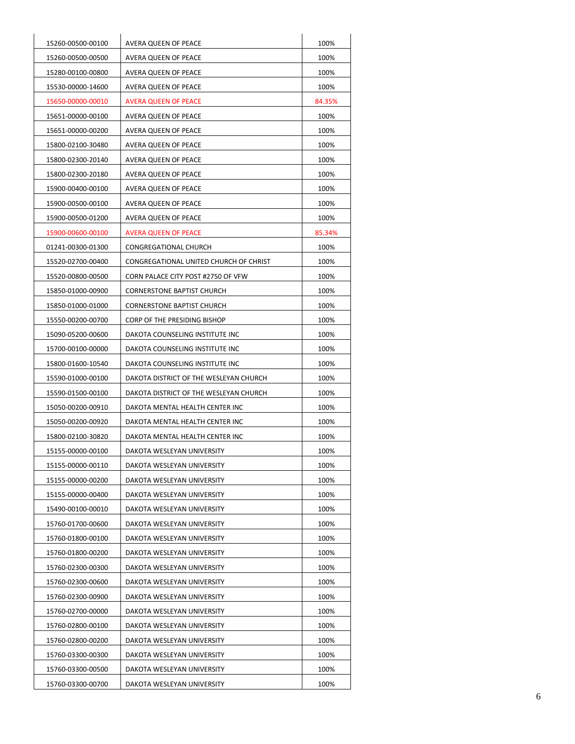| 15260-00500-00100 | AVERA QUEEN OF PEACE                   | 100%   |
|-------------------|----------------------------------------|--------|
| 15260-00500-00500 | AVERA QUEEN OF PEACE                   | 100%   |
| 15280-00100-00800 | AVERA QUEEN OF PEACE                   | 100%   |
| 15530-00000-14600 | AVERA QUEEN OF PEACE                   | 100%   |
| 15650-00000-00010 | <b>AVERA QUEEN OF PEACE</b>            | 84.35% |
| 15651-00000-00100 | AVERA QUEEN OF PEACE                   | 100%   |
| 15651-00000-00200 | AVERA QUEEN OF PEACE                   | 100%   |
| 15800-02100-30480 | <b>AVERA QUEEN OF PEACE</b>            | 100%   |
| 15800-02300-20140 | AVERA QUEEN OF PEACE                   | 100%   |
| 15800-02300-20180 | AVERA QUEEN OF PEACE                   | 100%   |
| 15900-00400-00100 | AVERA QUEEN OF PEACE                   | 100%   |
| 15900-00500-00100 | AVERA QUEEN OF PEACE                   | 100%   |
| 15900-00500-01200 | AVERA QUEEN OF PEACE                   | 100%   |
| 15900-00600-00100 | <b>AVERA QUEEN OF PEACE</b>            | 85.34% |
| 01241-00300-01300 | CONGREGATIONAL CHURCH                  | 100%   |
| 15520-02700-00400 | CONGREGATIONAL UNITED CHURCH OF CHRIST | 100%   |
| 15520-00800-00500 | CORN PALACE CITY POST #2750 OF VFW     | 100%   |
| 15850-01000-00900 | <b>CORNERSTONE BAPTIST CHURCH</b>      | 100%   |
| 15850-01000-01000 | <b>CORNERSTONE BAPTIST CHURCH</b>      | 100%   |
| 15550-00200-00700 | CORP OF THE PRESIDING BISHOP           | 100%   |
| 15090-05200-00600 | DAKOTA COUNSELING INSTITUTE INC        | 100%   |
| 15700-00100-00000 | DAKOTA COUNSELING INSTITUTE INC        | 100%   |
| 15800-01600-10540 | DAKOTA COUNSELING INSTITUTE INC        | 100%   |
| 15590-01000-00100 | DAKOTA DISTRICT OF THE WESLEYAN CHURCH | 100%   |
| 15590-01500-00100 | DAKOTA DISTRICT OF THE WESLEYAN CHURCH | 100%   |
| 15050-00200-00910 | DAKOTA MENTAL HEALTH CENTER INC        | 100%   |
| 15050-00200-00920 | DAKOTA MENTAL HEALTH CENTER INC        | 100%   |
| 15800-02100-30820 | DAKOTA MENTAL HEALTH CENTER INC        | 100%   |
| 15155-00000-00100 | DAKOTA WESLEYAN UNIVERSITY             | 100%   |
| 15155-00000-00110 | DAKOTA WESLEYAN UNIVERSITY             | 100%   |
| 15155-00000-00200 | DAKOTA WESLEYAN UNIVERSITY             | 100%   |
| 15155-00000-00400 | DAKOTA WESLEYAN UNIVERSITY             | 100%   |
| 15490-00100-00010 | DAKOTA WESLEYAN UNIVERSITY             | 100%   |
| 15760-01700-00600 | DAKOTA WESLEYAN UNIVERSITY             | 100%   |
| 15760-01800-00100 | DAKOTA WESLEYAN UNIVERSITY             | 100%   |
| 15760-01800-00200 | DAKOTA WESLEYAN UNIVERSITY             | 100%   |
| 15760-02300-00300 | DAKOTA WESLEYAN UNIVERSITY             | 100%   |
| 15760-02300-00600 | DAKOTA WESLEYAN UNIVERSITY             | 100%   |
| 15760-02300-00900 | DAKOTA WESLEYAN UNIVERSITY             | 100%   |
| 15760-02700-00000 | DAKOTA WESLEYAN UNIVERSITY             | 100%   |
| 15760-02800-00100 | DAKOTA WESLEYAN UNIVERSITY             | 100%   |
| 15760-02800-00200 | DAKOTA WESLEYAN UNIVERSITY             | 100%   |
| 15760-03300-00300 | DAKOTA WESLEYAN UNIVERSITY             | 100%   |
| 15760-03300-00500 | DAKOTA WESLEYAN UNIVERSITY             | 100%   |
| 15760-03300-00700 | DAKOTA WESLEYAN UNIVERSITY             | 100%   |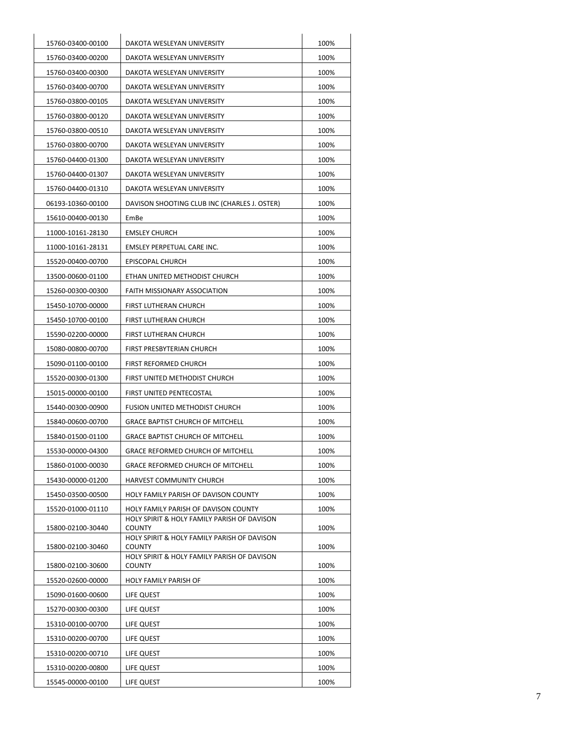| 15760-03400-00100 | DAKOTA WESLEYAN UNIVERSITY                                   | 100% |
|-------------------|--------------------------------------------------------------|------|
| 15760-03400-00200 | DAKOTA WESLEYAN UNIVERSITY                                   | 100% |
| 15760-03400-00300 | DAKOTA WESLEYAN UNIVERSITY                                   | 100% |
| 15760-03400-00700 | DAKOTA WESLEYAN UNIVERSITY                                   | 100% |
| 15760-03800-00105 | DAKOTA WESLEYAN UNIVERSITY                                   | 100% |
| 15760-03800-00120 | DAKOTA WESLEYAN UNIVERSITY                                   | 100% |
| 15760-03800-00510 | DAKOTA WESLEYAN UNIVERSITY                                   | 100% |
| 15760-03800-00700 | DAKOTA WESLEYAN UNIVERSITY                                   | 100% |
| 15760-04400-01300 | DAKOTA WESLEYAN UNIVERSITY                                   | 100% |
| 15760-04400-01307 | DAKOTA WESLEYAN UNIVERSITY                                   | 100% |
| 15760-04400-01310 | DAKOTA WESLEYAN UNIVERSITY                                   | 100% |
| 06193-10360-00100 | DAVISON SHOOTING CLUB INC (CHARLES J. OSTER)                 | 100% |
| 15610-00400-00130 | EmBe                                                         | 100% |
| 11000-10161-28130 | <b>EMSLEY CHURCH</b>                                         | 100% |
| 11000-10161-28131 | EMSLEY PERPETUAL CARE INC.                                   | 100% |
| 15520-00400-00700 | <b>EPISCOPAL CHURCH</b>                                      | 100% |
| 13500-00600-01100 | ETHAN UNITED METHODIST CHURCH                                | 100% |
| 15260-00300-00300 | FAITH MISSIONARY ASSOCIATION                                 | 100% |
| 15450-10700-00000 | FIRST LUTHERAN CHURCH                                        | 100% |
| 15450-10700-00100 | FIRST LUTHERAN CHURCH                                        | 100% |
| 15590-02200-00000 | FIRST LUTHERAN CHURCH                                        | 100% |
| 15080-00800-00700 | FIRST PRESBYTERIAN CHURCH                                    | 100% |
| 15090-01100-00100 | FIRST REFORMED CHURCH                                        | 100% |
| 15520-00300-01300 | FIRST UNITED METHODIST CHURCH                                | 100% |
| 15015-00000-00100 | FIRST UNITED PENTECOSTAL                                     | 100% |
| 15440-00300-00900 | FUSION UNITED METHODIST CHURCH                               | 100% |
| 15840-00600-00700 | GRACE BAPTIST CHURCH OF MITCHELL                             | 100% |
| 15840-01500-01100 | <b>GRACE BAPTIST CHURCH OF MITCHELL</b>                      | 100% |
| 15530-00000-04300 | <b>GRACE REFORMED CHURCH OF MITCHELL</b>                     | 100% |
| 15860-01000-00030 | <b>GRACE REFORMED CHURCH OF MITCHELL</b>                     | 100% |
| 15430-00000-01200 | HARVEST COMMUNITY CHURCH                                     | 100% |
| 15450-03500-00500 | HOLY FAMILY PARISH OF DAVISON COUNTY                         | 100% |
| 15520-01000-01110 | HOLY FAMILY PARISH OF DAVISON COUNTY                         | 100% |
|                   | HOLY SPIRIT & HOLY FAMILY PARISH OF DAVISON                  |      |
| 15800-02100-30440 | <b>COUNTY</b><br>HOLY SPIRIT & HOLY FAMILY PARISH OF DAVISON | 100% |
| 15800-02100-30460 | <b>COUNTY</b>                                                | 100% |
| 15800-02100-30600 | HOLY SPIRIT & HOLY FAMILY PARISH OF DAVISON<br>COUNTY        | 100% |
| 15520-02600-00000 | HOLY FAMILY PARISH OF                                        | 100% |
| 15090-01600-00600 | LIFE QUEST                                                   | 100% |
| 15270-00300-00300 | LIFE QUEST                                                   | 100% |
| 15310-00100-00700 | LIFE QUEST                                                   | 100% |
| 15310-00200-00700 | LIFE QUEST                                                   | 100% |
| 15310-00200-00710 | LIFE QUEST                                                   | 100% |
| 15310-00200-00800 | LIFE QUEST                                                   | 100% |
| 15545-00000-00100 | LIFE QUEST                                                   | 100% |
|                   |                                                              |      |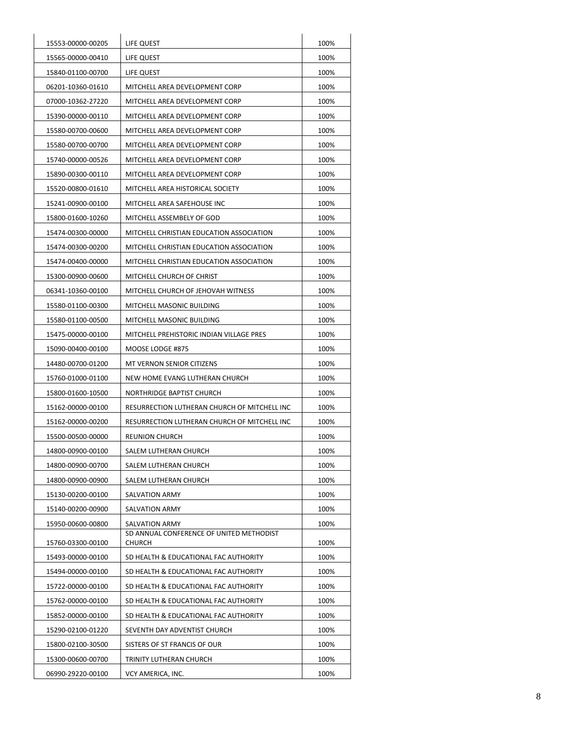| 15553-00000-00205 | LIFE QUEST                                                | 100% |
|-------------------|-----------------------------------------------------------|------|
| 15565-00000-00410 | LIFE QUEST                                                | 100% |
| 15840-01100-00700 | LIFE QUEST                                                | 100% |
| 06201-10360-01610 | MITCHELL AREA DEVELOPMENT CORP                            | 100% |
| 07000-10362-27220 | MITCHELL AREA DEVELOPMENT CORP                            | 100% |
| 15390-00000-00110 | MITCHELL AREA DEVELOPMENT CORP                            | 100% |
| 15580-00700-00600 | MITCHELL AREA DEVELOPMENT CORP                            | 100% |
| 15580-00700-00700 | MITCHELL AREA DEVELOPMENT CORP                            | 100% |
| 15740-00000-00526 | MITCHELL AREA DEVELOPMENT CORP                            | 100% |
| 15890-00300-00110 | MITCHELL AREA DEVELOPMENT CORP                            | 100% |
| 15520-00800-01610 | MITCHELL AREA HISTORICAL SOCIETY                          | 100% |
| 15241-00900-00100 | MITCHELL AREA SAFEHOUSE INC                               | 100% |
| 15800-01600-10260 | MITCHELL ASSEMBELY OF GOD                                 | 100% |
| 15474-00300-00000 | MITCHELL CHRISTIAN EDUCATION ASSOCIATION                  |      |
| 15474-00300-00200 | MITCHELL CHRISTIAN EDUCATION ASSOCIATION                  |      |
| 15474-00400-00000 | MITCHELL CHRISTIAN EDUCATION ASSOCIATION                  |      |
| 15300-00900-00600 | MITCHELL CHURCH OF CHRIST                                 |      |
| 06341-10360-00100 | MITCHELL CHURCH OF JEHOVAH WITNESS                        |      |
| 15580-01100-00300 | MITCHELL MASONIC BUILDING                                 | 100% |
| 15580-01100-00500 | MITCHELL MASONIC BUILDING                                 | 100% |
| 15475-00000-00100 | MITCHELL PREHISTORIC INDIAN VILLAGE PRES                  | 100% |
| 15090-00400-00100 | MOOSE LODGE #875                                          | 100% |
| 14480-00700-01200 | MT VERNON SENIOR CITIZENS                                 | 100% |
| 15760-01000-01100 | NEW HOME EVANG LUTHERAN CHURCH                            | 100% |
| 15800-01600-10500 | NORTHRIDGE BAPTIST CHURCH                                 | 100% |
| 15162-00000-00100 | RESURRECTION LUTHERAN CHURCH OF MITCHELL INC              | 100% |
| 15162-00000-00200 | RESURRECTION LUTHERAN CHURCH OF MITCHELL INC              | 100% |
| 15500-00500-00000 | <b>REUNION CHURCH</b>                                     |      |
| 14800-00900-00100 | SALEM LUTHERAN CHURCH                                     |      |
| 14800-00900-00700 | SALEM LUTHERAN CHURCH                                     |      |
| 14800-00900-00900 | SALEM LUTHERAN CHURCH                                     | 100% |
| 15130-00200-00100 | <b>SALVATION ARMY</b>                                     | 100% |
| 15140-00200-00900 | <b>SALVATION ARMY</b>                                     | 100% |
| 15950-00600-00800 | <b>SALVATION ARMY</b>                                     | 100% |
| 15760-03300-00100 | SD ANNUAL CONFERENCE OF UNITED METHODIST<br><b>CHURCH</b> | 100% |
| 15493-00000-00100 | SD HEALTH & EDUCATIONAL FAC AUTHORITY                     | 100% |
| 15494-00000-00100 | SD HEALTH & EDUCATIONAL FAC AUTHORITY                     | 100% |
| 15722-00000-00100 | SD HEALTH & EDUCATIONAL FAC AUTHORITY                     | 100% |
| 15762-00000-00100 | SD HEALTH & EDUCATIONAL FAC AUTHORITY                     | 100% |
| 15852-00000-00100 | SD HEALTH & EDUCATIONAL FAC AUTHORITY                     | 100% |
| 15290-02100-01220 | SEVENTH DAY ADVENTIST CHURCH                              | 100% |
| 15800-02100-30500 | SISTERS OF ST FRANCIS OF OUR                              | 100% |
| 15300-00600-00700 | TRINITY LUTHERAN CHURCH                                   | 100% |
| 06990-29220-00100 | VCY AMERICA, INC.                                         | 100% |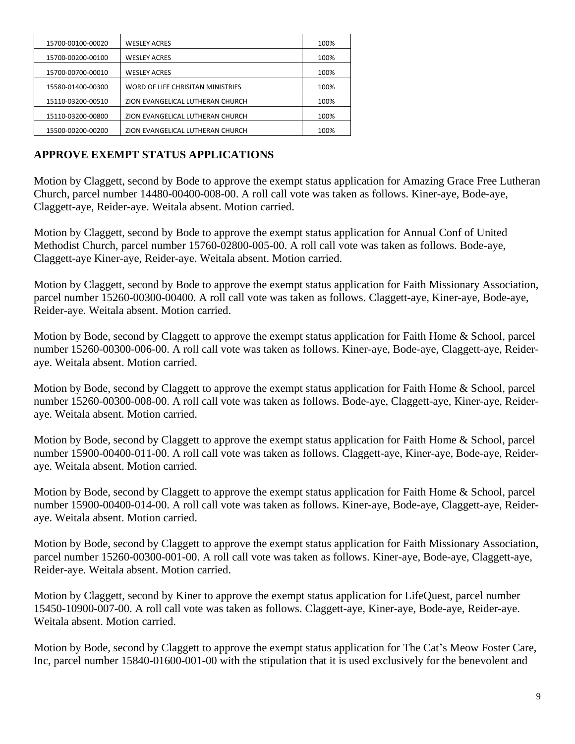| 15700-00100-00020 | <b>WESLEY ACRES</b>               | 100% |
|-------------------|-----------------------------------|------|
| 15700-00200-00100 | <b>WESLEY ACRES</b>               | 100% |
| 15700-00700-00010 | <b>WESLEY ACRES</b>               | 100% |
| 15580-01400-00300 | WORD OF LIFE CHRISITAN MINISTRIES | 100% |
| 15110-03200-00510 | ZION EVANGELICAL LUTHERAN CHURCH  | 100% |
| 15110-03200-00800 | ZION EVANGELICAL LUTHERAN CHURCH  | 100% |
| 15500-00200-00200 | ZION EVANGELICAL LUTHERAN CHURCH  | 100% |

# **APPROVE EXEMPT STATUS APPLICATIONS**

Motion by Claggett, second by Bode to approve the exempt status application for Amazing Grace Free Lutheran Church, parcel number 14480-00400-008-00. A roll call vote was taken as follows. Kiner-aye, Bode-aye, Claggett-aye, Reider-aye. Weitala absent. Motion carried.

Motion by Claggett, second by Bode to approve the exempt status application for Annual Conf of United Methodist Church, parcel number 15760-02800-005-00. A roll call vote was taken as follows. Bode-aye, Claggett-aye Kiner-aye, Reider-aye. Weitala absent. Motion carried.

Motion by Claggett, second by Bode to approve the exempt status application for Faith Missionary Association, parcel number 15260-00300-00400. A roll call vote was taken as follows. Claggett-aye, Kiner-aye, Bode-aye, Reider-aye. Weitala absent. Motion carried.

Motion by Bode, second by Claggett to approve the exempt status application for Faith Home & School, parcel number 15260-00300-006-00. A roll call vote was taken as follows. Kiner-aye, Bode-aye, Claggett-aye, Reideraye. Weitala absent. Motion carried.

Motion by Bode, second by Claggett to approve the exempt status application for Faith Home & School, parcel number 15260-00300-008-00. A roll call vote was taken as follows. Bode-aye, Claggett-aye, Kiner-aye, Reideraye. Weitala absent. Motion carried.

Motion by Bode, second by Claggett to approve the exempt status application for Faith Home & School, parcel number 15900-00400-011-00. A roll call vote was taken as follows. Claggett-aye, Kiner-aye, Bode-aye, Reideraye. Weitala absent. Motion carried.

Motion by Bode, second by Claggett to approve the exempt status application for Faith Home & School, parcel number 15900-00400-014-00. A roll call vote was taken as follows. Kiner-aye, Bode-aye, Claggett-aye, Reideraye. Weitala absent. Motion carried.

Motion by Bode, second by Claggett to approve the exempt status application for Faith Missionary Association, parcel number 15260-00300-001-00. A roll call vote was taken as follows. Kiner-aye, Bode-aye, Claggett-aye, Reider-aye. Weitala absent. Motion carried.

Motion by Claggett, second by Kiner to approve the exempt status application for LifeQuest, parcel number 15450-10900-007-00. A roll call vote was taken as follows. Claggett-aye, Kiner-aye, Bode-aye, Reider-aye. Weitala absent. Motion carried.

Motion by Bode, second by Claggett to approve the exempt status application for The Cat's Meow Foster Care, Inc, parcel number 15840-01600-001-00 with the stipulation that it is used exclusively for the benevolent and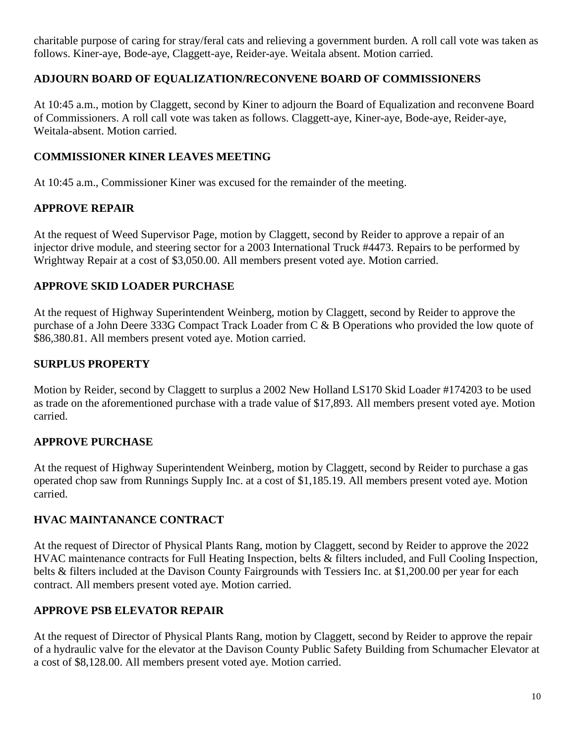charitable purpose of caring for stray/feral cats and relieving a government burden. A roll call vote was taken as follows. Kiner-aye, Bode-aye, Claggett-aye, Reider-aye. Weitala absent. Motion carried.

## **ADJOURN BOARD OF EQUALIZATION/RECONVENE BOARD OF COMMISSIONERS**

At 10:45 a.m., motion by Claggett, second by Kiner to adjourn the Board of Equalization and reconvene Board of Commissioners. A roll call vote was taken as follows. Claggett-aye, Kiner-aye, Bode-aye, Reider-aye, Weitala-absent. Motion carried.

## **COMMISSIONER KINER LEAVES MEETING**

At 10:45 a.m., Commissioner Kiner was excused for the remainder of the meeting.

## **APPROVE REPAIR**

At the request of Weed Supervisor Page, motion by Claggett, second by Reider to approve a repair of an injector drive module, and steering sector for a 2003 International Truck #4473. Repairs to be performed by Wrightway Repair at a cost of \$3,050.00. All members present voted aye. Motion carried.

## **APPROVE SKID LOADER PURCHASE**

At the request of Highway Superintendent Weinberg, motion by Claggett, second by Reider to approve the purchase of a John Deere 333G Compact Track Loader from C & B Operations who provided the low quote of \$86,380.81. All members present voted aye. Motion carried.

# **SURPLUS PROPERTY**

Motion by Reider, second by Claggett to surplus a 2002 New Holland LS170 Skid Loader #174203 to be used as trade on the aforementioned purchase with a trade value of \$17,893. All members present voted aye. Motion carried.

#### **APPROVE PURCHASE**

At the request of Highway Superintendent Weinberg, motion by Claggett, second by Reider to purchase a gas operated chop saw from Runnings Supply Inc. at a cost of \$1,185.19. All members present voted aye. Motion carried.

# **HVAC MAINTANANCE CONTRACT**

At the request of Director of Physical Plants Rang, motion by Claggett, second by Reider to approve the 2022 HVAC maintenance contracts for Full Heating Inspection, belts & filters included, and Full Cooling Inspection, belts & filters included at the Davison County Fairgrounds with Tessiers Inc. at \$1,200.00 per year for each contract. All members present voted aye. Motion carried.

# **APPROVE PSB ELEVATOR REPAIR**

At the request of Director of Physical Plants Rang, motion by Claggett, second by Reider to approve the repair of a hydraulic valve for the elevator at the Davison County Public Safety Building from Schumacher Elevator at a cost of \$8,128.00. All members present voted aye. Motion carried.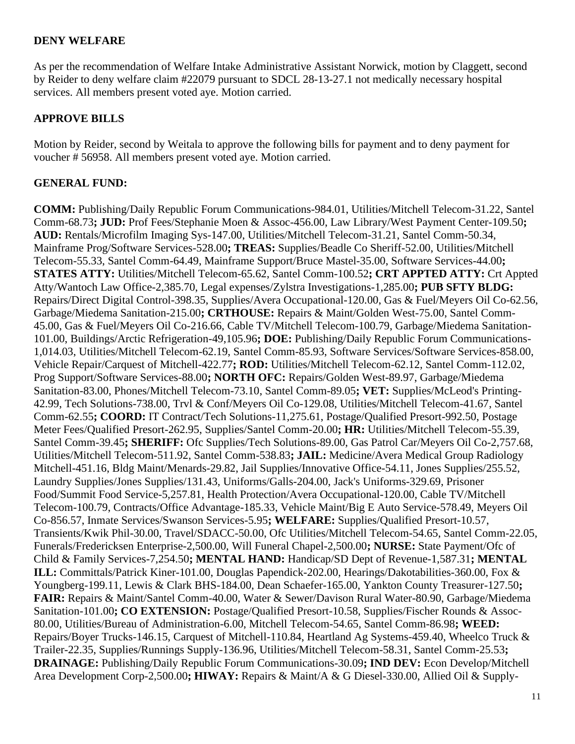#### **DENY WELFARE**

As per the recommendation of Welfare Intake Administrative Assistant Norwick, motion by Claggett, second by Reider to deny welfare claim #22079 pursuant to SDCL 28-13-27.1 not medically necessary hospital services. All members present voted aye. Motion carried.

#### **APPROVE BILLS**

Motion by Reider, second by Weitala to approve the following bills for payment and to deny payment for voucher # 56958. All members present voted aye. Motion carried.

#### **GENERAL FUND:**

**COMM:** Publishing/Daily Republic Forum Communications-984.01, Utilities/Mitchell Telecom-31.22, Santel Comm-68.73**; JUD:** Prof Fees/Stephanie Moen & Assoc-456.00, Law Library/West Payment Center-109.50**; AUD:** Rentals/Microfilm Imaging Sys-147.00, Utilities/Mitchell Telecom-31.21, Santel Comm-50.34, Mainframe Prog/Software Services-528.00**; TREAS:** Supplies/Beadle Co Sheriff-52.00, Utilities/Mitchell Telecom-55.33, Santel Comm-64.49, Mainframe Support/Bruce Mastel-35.00, Software Services-44.00**; STATES ATTY:** Utilities/Mitchell Telecom-65.62, Santel Comm-100.52**; CRT APPTED ATTY:** Crt Appted Atty/Wantoch Law Office-2,385.70, Legal expenses/Zylstra Investigations-1,285.00**; PUB SFTY BLDG:** Repairs/Direct Digital Control-398.35, Supplies/Avera Occupational-120.00, Gas & Fuel/Meyers Oil Co-62.56, Garbage/Miedema Sanitation-215.00**; CRTHOUSE:** Repairs & Maint/Golden West-75.00, Santel Comm-45.00, Gas & Fuel/Meyers Oil Co-216.66, Cable TV/Mitchell Telecom-100.79, Garbage/Miedema Sanitation-101.00, Buildings/Arctic Refrigeration-49,105.96**; DOE:** Publishing/Daily Republic Forum Communications-1,014.03, Utilities/Mitchell Telecom-62.19, Santel Comm-85.93, Software Services/Software Services-858.00, Vehicle Repair/Carquest of Mitchell-422.77**; ROD:** Utilities/Mitchell Telecom-62.12, Santel Comm-112.02, Prog Support/Software Services-88.00**; NORTH OFC:** Repairs/Golden West-89.97, Garbage/Miedema Sanitation-83.00, Phones/Mitchell Telecom-73.10, Santel Comm-89.05**; VET:** Supplies/McLeod's Printing-42.99, Tech Solutions-738.00, Trvl & Conf/Meyers Oil Co-129.08, Utilities/Mitchell Telecom-41.67, Santel Comm-62.55**; COORD:** IT Contract/Tech Solutions-11,275.61, Postage/Qualified Presort-992.50, Postage Meter Fees/Qualified Presort-262.95, Supplies/Santel Comm-20.00**; HR:** Utilities/Mitchell Telecom-55.39, Santel Comm-39.45**; SHERIFF:** Ofc Supplies/Tech Solutions-89.00, Gas Patrol Car/Meyers Oil Co-2,757.68, Utilities/Mitchell Telecom-511.92, Santel Comm-538.83**; JAIL:** Medicine/Avera Medical Group Radiology Mitchell-451.16, Bldg Maint/Menards-29.82, Jail Supplies/Innovative Office-54.11, Jones Supplies/255.52, Laundry Supplies/Jones Supplies/131.43, Uniforms/Galls-204.00, Jack's Uniforms-329.69, Prisoner Food/Summit Food Service-5,257.81, Health Protection/Avera Occupational-120.00, Cable TV/Mitchell Telecom-100.79, Contracts/Office Advantage-185.33, Vehicle Maint/Big E Auto Service-578.49, Meyers Oil Co-856.57, Inmate Services/Swanson Services-5.95**; WELFARE:** Supplies/Qualified Presort-10.57, Transients/Kwik Phil-30.00, Travel/SDACC-50.00, Ofc Utilities/Mitchell Telecom-54.65, Santel Comm-22.05, Funerals/Fredericksen Enterprise-2,500.00, Will Funeral Chapel-2,500.00**; NURSE:** State Payment/Ofc of Child & Family Services-7,254.50**; MENTAL HAND:** Handicap/SD Dept of Revenue-1,587.31**; MENTAL ILL:** Committals/Patrick Kiner-101.00, Douglas Papendick-202.00, Hearings/Dakotabilities-360.00, Fox & Youngberg-199.11, Lewis & Clark BHS-184.00, Dean Schaefer-165.00, Yankton County Treasurer-127.50**; FAIR:** Repairs & Maint/Santel Comm-40.00, Water & Sewer/Davison Rural Water-80.90, Garbage/Miedema Sanitation-101.00**; CO EXTENSION:** Postage/Qualified Presort-10.58, Supplies/Fischer Rounds & Assoc-80.00, Utilities/Bureau of Administration-6.00, Mitchell Telecom-54.65, Santel Comm-86.98**; WEED:** Repairs/Boyer Trucks-146.15, Carquest of Mitchell-110.84, Heartland Ag Systems-459.40, Wheelco Truck & Trailer-22.35, Supplies/Runnings Supply-136.96, Utilities/Mitchell Telecom-58.31, Santel Comm-25.53**; DRAINAGE:** Publishing/Daily Republic Forum Communications-30.09**; IND DEV:** Econ Develop/Mitchell Area Development Corp-2,500.00**; HIWAY:** Repairs & Maint/A & G Diesel-330.00, Allied Oil & Supply-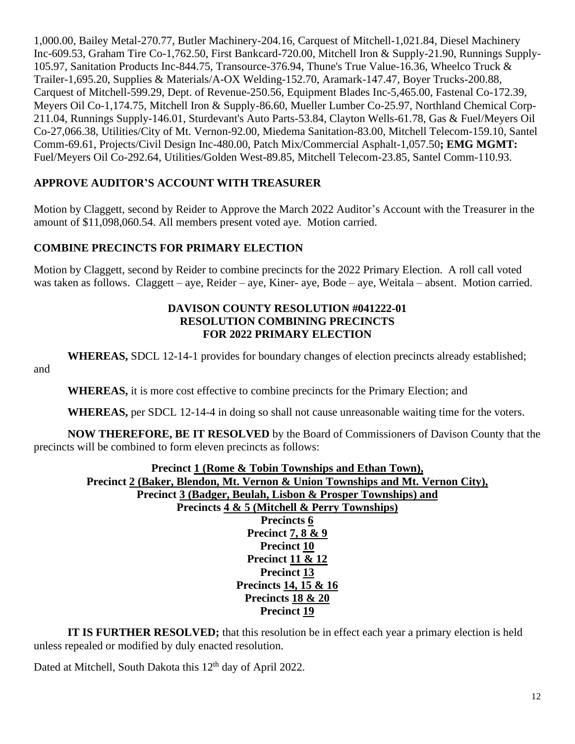1,000.00, Bailey Metal-270.77, Butler Machinery-204.16, Carquest of Mitchell-1,021.84, Diesel Machinery Inc-609.53, Graham Tire Co-1,762.50, First Bankcard-720.00, Mitchell Iron & Supply-21.90, Runnings Supply-105.97, Sanitation Products Inc-844.75, Transource-376.94, Thune's True Value-16.36, Wheelco Truck & Trailer-1,695.20, Supplies & Materials/A-OX Welding-152.70, Aramark-147.47, Boyer Trucks-200.88, Carquest of Mitchell-599.29, Dept. of Revenue-250.56, Equipment Blades Inc-5,465.00, Fastenal Co-172.39, Meyers Oil Co-1,174.75, Mitchell Iron & Supply-86.60, Mueller Lumber Co-25.97, Northland Chemical Corp-211.04, Runnings Supply-146.01, Sturdevant's Auto Parts-53.84, Clayton Wells-61.78, Gas & Fuel/Meyers Oil Co-27,066.38, Utilities/City of Mt. Vernon-92.00, Miedema Sanitation-83.00, Mitchell Telecom-159.10, Santel Comm-69.61, Projects/Civil Design Inc-480.00, Patch Mix/Commercial Asphalt-1,057.50**; EMG MGMT:** Fuel/Meyers Oil Co-292.64, Utilities/Golden West-89.85, Mitchell Telecom-23.85, Santel Comm-110.93.

# **APPROVE AUDITOR'S ACCOUNT WITH TREASURER**

Motion by Claggett, second by Reider to Approve the March 2022 Auditor's Account with the Treasurer in the amount of \$11,098,060.54. All members present voted aye. Motion carried.

# **COMBINE PRECINCTS FOR PRIMARY ELECTION**

Motion by Claggett, second by Reider to combine precincts for the 2022 Primary Election. A roll call voted was taken as follows. Claggett – aye, Reider – aye, Kiner- aye, Bode – aye, Weitala – absent. Motion carried.

#### **DAVISON COUNTY RESOLUTION #041222-01 RESOLUTION COMBINING PRECINCTS FOR 2022 PRIMARY ELECTION**

**WHEREAS,** SDCL 12-14-1 provides for boundary changes of election precincts already established;

and

**WHEREAS,** it is more cost effective to combine precincts for the Primary Election; and

**WHEREAS,** per SDCL 12-14-4 in doing so shall not cause unreasonable waiting time for the voters.

**NOW THEREFORE, BE IT RESOLVED** by the Board of Commissioners of Davison County that the precincts will be combined to form eleven precincts as follows:

**Precinct 1 (Rome & Tobin Townships and Ethan Town), Precinct 2 (Baker, Blendon, Mt. Vernon & Union Townships and Mt. Vernon City), Precinct 3 (Badger, Beulah, Lisbon & Prosper Townships) and Precincts 4 & 5 (Mitchell & Perry Townships) Precincts 6 Precinct 7, 8 & 9 Precinct 10 Precinct 11 & 12 Precinct 13 Precincts 14, 15 & 16 Precincts 18 & 20 Precinct 19**

**IT IS FURTHER RESOLVED;** that this resolution be in effect each year a primary election is held unless repealed or modified by duly enacted resolution.

Dated at Mitchell, South Dakota this 12<sup>th</sup> day of April 2022.